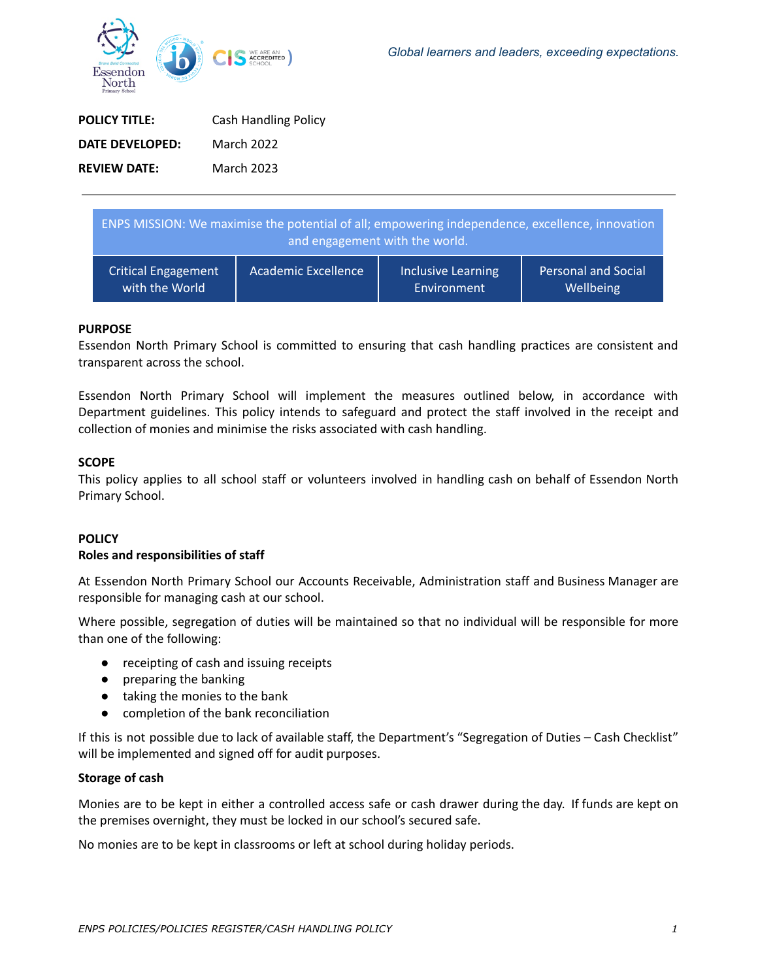**Wellbeing** 



| <b>POLICY TITLE:</b> | <b>Cash Handling Policy</b> |
|----------------------|-----------------------------|
| DATE DEVELOPED:      | <b>March 2022</b>           |
| <b>REVIEW DATE:</b>  | <b>March 2023</b>           |

ENPS MISSION: We maximise the potential of all; empowering independence, excellence, innovation and engagement with the world. Critical Engagement Academic Excellence | Inclusive Learning Personal and Social

Environment

## **PURPOSE**

Essendon North Primary School is committed to ensuring that cash handling practices are consistent and transparent across the school.

Essendon North Primary School will implement the measures outlined below, in accordance with Department guidelines. This policy intends to safeguard and protect the staff involved in the receipt and collection of monies and minimise the risks associated with cash handling.

## **SCOPE**

This policy applies to all school staff or volunteers involved in handling cash on behalf of Essendon North Primary School.

# **POLICY**

#### **Roles and responsibilities of staff**

with the World

At Essendon North Primary School our Accounts Receivable, Administration staff and Business Manager are responsible for managing cash at our school.

Where possible, segregation of duties will be maintained so that no individual will be responsible for more than one of the following:

- receipting of cash and issuing receipts
- preparing the banking
- taking the monies to the bank
- completion of the bank reconciliation

If this is not possible due to lack of available staff, the Department's "Segregation of Duties – Cash Checklist" will be implemented and signed off for audit purposes.

## **Storage of cash**

Monies are to be kept in either a controlled access safe or cash drawer during the day. If funds are kept on the premises overnight, they must be locked in our school's secured safe.

No monies are to be kept in classrooms or left at school during holiday periods.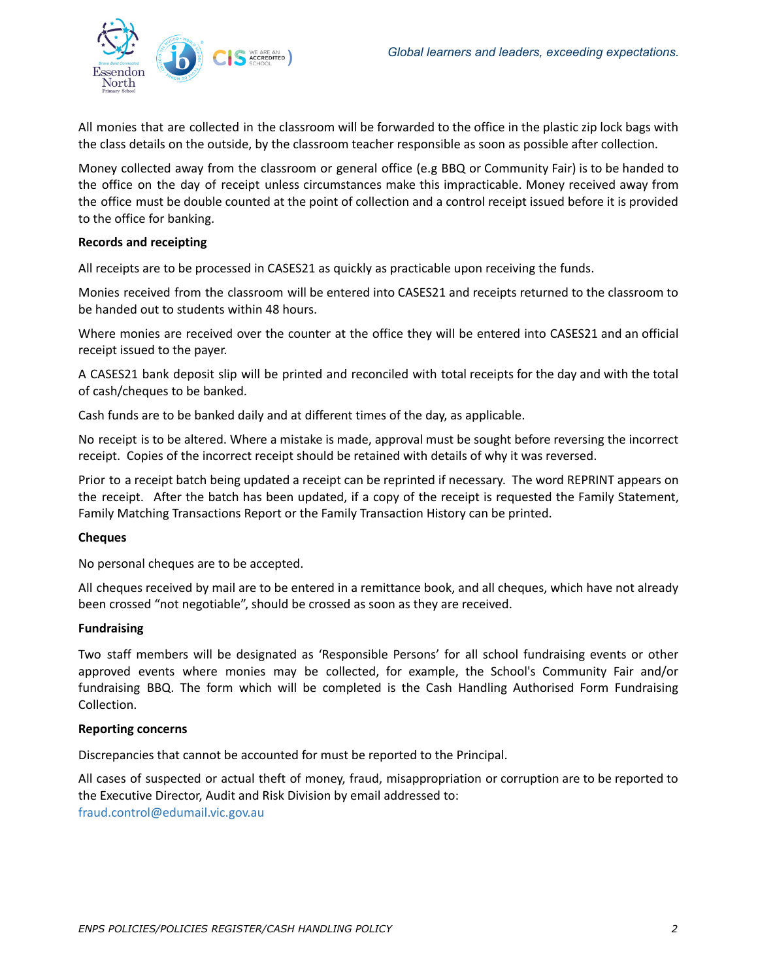

All monies that are collected in the classroom will be forwarded to the office in the plastic zip lock bags with the class details on the outside, by the classroom teacher responsible as soon as possible after collection.

Money collected away from the classroom or general office (e.g BBQ or Community Fair) is to be handed to the office on the day of receipt unless circumstances make this impracticable. Money received away from the office must be double counted at the point of collection and a control receipt issued before it is provided to the office for banking.

## **Records and receipting**

All receipts are to be processed in CASES21 as quickly as practicable upon receiving the funds.

Monies received from the classroom will be entered into CASES21 and receipts returned to the classroom to be handed out to students within 48 hours.

Where monies are received over the counter at the office they will be entered into CASES21 and an official receipt issued to the payer.

A CASES21 bank deposit slip will be printed and reconciled with total receipts for the day and with the total of cash/cheques to be banked.

Cash funds are to be banked daily and at different times of the day, as applicable.

No receipt is to be altered. Where a mistake is made, approval must be sought before reversing the incorrect receipt. Copies of the incorrect receipt should be retained with details of why it was reversed.

Prior to a receipt batch being updated a receipt can be reprinted if necessary. The word REPRINT appears on the receipt. After the batch has been updated, if a copy of the receipt is requested the Family Statement, Family Matching Transactions Report or the Family Transaction History can be printed.

## **Cheques**

No personal cheques are to be accepted.

All cheques received by mail are to be entered in a remittance book, and all cheques, which have not already been crossed "not negotiable", should be crossed as soon as they are received.

## **Fundraising**

Two staff members will be designated as 'Responsible Persons' for all school fundraising events or other approved events where monies may be collected, for example, the School's Community Fair and/or fundraising BBQ. The form which will be completed is the Cash Handling Authorised Form Fundraising Collection.

## **Reporting concerns**

Discrepancies that cannot be accounted for must be reported to the Principal.

All cases of suspected or actual theft of money, fraud, misappropriation or corruption are to be reported to the Executive Director, Audit and Risk Division by email addressed to: fraud.control@edumail.vic.gov.au